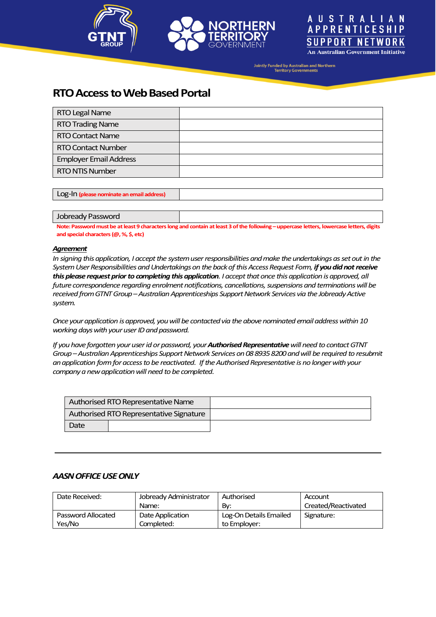





Jointly Funded by Australian and Northern<br>Territory Governments

# **RTO Access to Web Based Portal**

| RTO Legal Name                |  |
|-------------------------------|--|
| <b>RTO Trading Name</b>       |  |
| <b>RTO Contact Name</b>       |  |
| <b>RTO Contact Number</b>     |  |
| <b>Employer Email Address</b> |  |
| <b>RTO NTIS Number</b>        |  |
|                               |  |

Log-In **(please nominate an email address)**

#### Jobready Password

Note: Password must be at least 9 characters long and contain at least 3 of the following - uppercase letters, lowercase letters, digits **and special characters (@, %, \$, etc)**

#### *Agreement*

*In signing this application, I accept the system user responsibilities and make the undertakings as set out in the System User Responsibilities and Undertakings on the back of this Access Request Form, if you did not receive this please request prior to completing this application. I accept that once this application is approved, all future correspondence regarding enrolment notifications, cancellations, suspensions and terminations will be received from GTNT Group –Australian Apprenticeships Support Network Services via the Jobready Active system.*

*Once yourapplication is approved, you will be contacted via the above nominated email address within 10 working days with your user ID and password.*

*If you have forgotten your user id or password, your Authorised Representativewill need to contact GTNT Group –Australian Apprenticeships Support Network Serviceson 08 8935 8200and will be required to resubmit an application form for access to be reactivated. Ifthe Authorised Representative is no longer with your company a new application will need to be completed.* 

| Authorised RTO Representative Name      |  |  |
|-----------------------------------------|--|--|
| Authorised RTO Representative Signature |  |  |
| Date                                    |  |  |

### *AASNOFFICE USE ONLY*

| Date Received:     | Jobready Administrator | Authorised             | Account             |
|--------------------|------------------------|------------------------|---------------------|
|                    | Name:                  | Bv:                    | Created/Reactivated |
| Password Allocated | Date Application       | Log-On Details Emailed | Signature:          |
| Yes/No             | Completed:             | to Employer:           |                     |